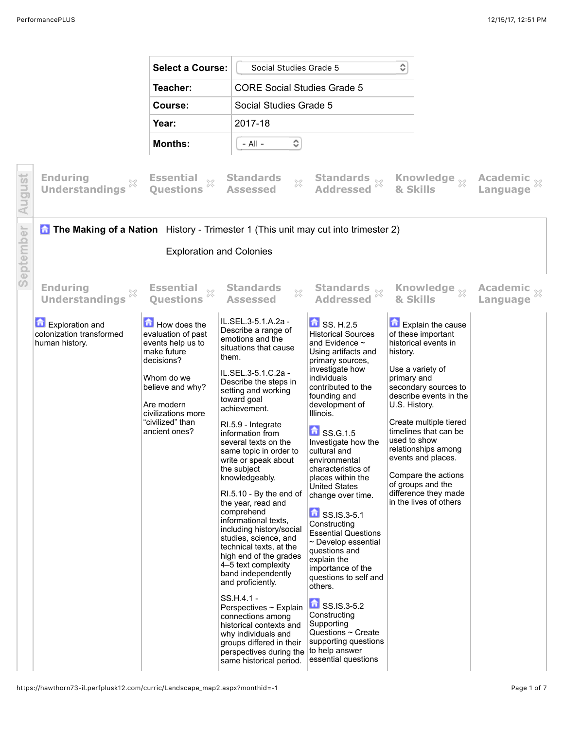ť

|   |                                                                                            | <b>Select a Course:</b>                                                                                                                                                                         | Social Studies Grade 5                                                                                                                                                                                                                                                                                                                                                                                                                                                                                                                                                                                                                                                                                                                                                                                                          |                                                                                                                                                                                                                                                                                                                                                                                                                                                                                                                                                                                                                                                                                                                            | ≎                                                        |                                                                                                                                                                                                                                                                                                                                            |                                    |
|---|--------------------------------------------------------------------------------------------|-------------------------------------------------------------------------------------------------------------------------------------------------------------------------------------------------|---------------------------------------------------------------------------------------------------------------------------------------------------------------------------------------------------------------------------------------------------------------------------------------------------------------------------------------------------------------------------------------------------------------------------------------------------------------------------------------------------------------------------------------------------------------------------------------------------------------------------------------------------------------------------------------------------------------------------------------------------------------------------------------------------------------------------------|----------------------------------------------------------------------------------------------------------------------------------------------------------------------------------------------------------------------------------------------------------------------------------------------------------------------------------------------------------------------------------------------------------------------------------------------------------------------------------------------------------------------------------------------------------------------------------------------------------------------------------------------------------------------------------------------------------------------------|----------------------------------------------------------|--------------------------------------------------------------------------------------------------------------------------------------------------------------------------------------------------------------------------------------------------------------------------------------------------------------------------------------------|------------------------------------|
|   |                                                                                            | Teacher:                                                                                                                                                                                        | <b>CORE Social Studies Grade 5</b>                                                                                                                                                                                                                                                                                                                                                                                                                                                                                                                                                                                                                                                                                                                                                                                              |                                                                                                                                                                                                                                                                                                                                                                                                                                                                                                                                                                                                                                                                                                                            |                                                          |                                                                                                                                                                                                                                                                                                                                            |                                    |
|   |                                                                                            | Course:                                                                                                                                                                                         | Social Studies Grade 5                                                                                                                                                                                                                                                                                                                                                                                                                                                                                                                                                                                                                                                                                                                                                                                                          |                                                                                                                                                                                                                                                                                                                                                                                                                                                                                                                                                                                                                                                                                                                            |                                                          |                                                                                                                                                                                                                                                                                                                                            |                                    |
|   |                                                                                            | Year:                                                                                                                                                                                           | 2017-18                                                                                                                                                                                                                                                                                                                                                                                                                                                                                                                                                                                                                                                                                                                                                                                                                         |                                                                                                                                                                                                                                                                                                                                                                                                                                                                                                                                                                                                                                                                                                                            |                                                          |                                                                                                                                                                                                                                                                                                                                            |                                    |
|   |                                                                                            | <b>Months:</b>                                                                                                                                                                                  | ٥<br>- All -                                                                                                                                                                                                                                                                                                                                                                                                                                                                                                                                                                                                                                                                                                                                                                                                                    |                                                                                                                                                                                                                                                                                                                                                                                                                                                                                                                                                                                                                                                                                                                            |                                                          |                                                                                                                                                                                                                                                                                                                                            |                                    |
|   | <b>Enduring</b><br><b>Understandings</b>                                                   | <b>Essential</b><br>X<br><b>Ouestions</b>                                                                                                                                                       | <b>Standards</b><br>$\mathbb{X}$<br><b>Assessed</b>                                                                                                                                                                                                                                                                                                                                                                                                                                                                                                                                                                                                                                                                                                                                                                             | Standards<br>X<br><b>Addressed</b>                                                                                                                                                                                                                                                                                                                                                                                                                                                                                                                                                                                                                                                                                         | & Skills                                                 | Knowledge $_{\mathbb{X}}$                                                                                                                                                                                                                                                                                                                  | Academic x<br>Language             |
|   | <b>A The Making of a Nation</b> History - Trimester 1 (This unit may cut into trimester 2) |                                                                                                                                                                                                 |                                                                                                                                                                                                                                                                                                                                                                                                                                                                                                                                                                                                                                                                                                                                                                                                                                 |                                                                                                                                                                                                                                                                                                                                                                                                                                                                                                                                                                                                                                                                                                                            |                                                          |                                                                                                                                                                                                                                                                                                                                            |                                    |
|   |                                                                                            | <b>Exploration and Colonies</b>                                                                                                                                                                 |                                                                                                                                                                                                                                                                                                                                                                                                                                                                                                                                                                                                                                                                                                                                                                                                                                 |                                                                                                                                                                                                                                                                                                                                                                                                                                                                                                                                                                                                                                                                                                                            |                                                          |                                                                                                                                                                                                                                                                                                                                            |                                    |
| n | <b>Enduring</b><br><b>Understandings</b>                                                   | <b>Essential</b><br>$\mathbb{X}$<br><b>Ouestions</b>                                                                                                                                            | <b>Standards</b><br>X<br><b>Assessed</b>                                                                                                                                                                                                                                                                                                                                                                                                                                                                                                                                                                                                                                                                                                                                                                                        | Standards<br>3<br><b>Addressed</b>                                                                                                                                                                                                                                                                                                                                                                                                                                                                                                                                                                                                                                                                                         |                                                          | Knowledge <sub>X</sub><br>& Skills                                                                                                                                                                                                                                                                                                         | <b>Academic</b><br><b>Language</b> |
|   | Exploration and<br>colonization transformed<br>human history.                              | How does the<br>evaluation of past<br>events help us to<br>make future<br>decisions?<br>Whom do we<br>believe and why?<br>Are modern<br>civilizations more<br>"civilized" than<br>ancient ones? | IL.SEL.3-5.1.A.2a -<br>Describe a range of<br>emotions and the<br>situations that cause<br>them.<br>IL.SEL.3-5.1.C.2a -<br>Describe the steps in<br>setting and working<br>toward goal<br>achievement.<br>RI.5.9 - Integrate<br>information from<br>several texts on the<br>same topic in order to<br>write or speak about<br>the subject<br>knowledgeably.<br>RI.5.10 - By the end of<br>the year, read and<br>comprehend<br>informational texts,<br>including history/social<br>studies, science, and<br>technical texts, at the<br>high end of the grades<br>4–5 text complexity<br>band independently<br>and proficiently.<br>SS.H.4.1 -<br>Perspectives ~ Explain<br>connections among<br>historical contexts and<br>why individuals and<br>groups differed in their<br>perspectives during the<br>same historical period. | $\bullet$ SS. H.2.5<br><b>Historical Sources</b><br>and Evidence $\sim$<br>Using artifacts and<br>primary sources,<br>investigate how<br>individuals<br>contributed to the<br>founding and<br>development of<br>Illinois.<br>$\bullet$ SS.G.1.5<br>Investigate how the<br>cultural and<br>environmental<br>characteristics of<br>places within the<br><b>United States</b><br>change over time.<br>SS.IS.3-5.1<br>Constructing<br><b>Essential Questions</b><br>$\sim$ Develop essential<br>questions and<br>explain the<br>importance of the<br>questions to self and<br>others.<br>SS.IS.3-5.2<br>Constructing<br>Supporting<br>Questions $\sim$ Create<br>supporting questions<br>to help answer<br>essential questions | history.<br>primary and<br>U.S. History.<br>used to show | <b>Explain the cause</b><br>of these important<br>historical events in<br>Use a variety of<br>secondary sources to<br>describe events in the<br>Create multiple tiered<br>timelines that can be<br>relationships among<br>events and places.<br>Compare the actions<br>of groups and the<br>difference they made<br>in the lives of others |                                    |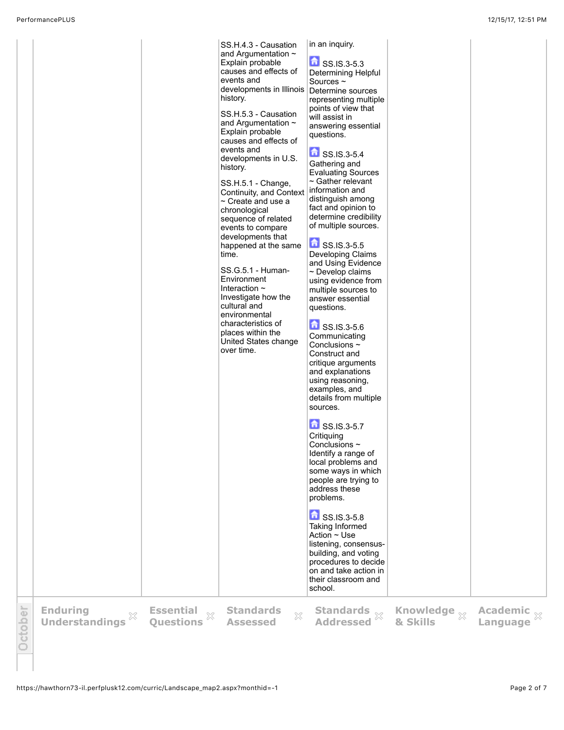|       |                                               |                                                            | SS.H.4.3 - Causation<br>and Argumentation $\sim$<br>Explain probable<br>causes and effects of<br>events and<br>developments in Illinois<br>history.<br>SS.H.5.3 - Causation<br>and Argumentation $\sim$<br>Explain probable<br>causes and effects of<br>events and<br>developments in U.S.<br>history.<br>SS.H.5.1 - Change,<br>Continuity, and Context<br>$\sim$ Create and use a<br>chronological<br>sequence of related<br>events to compare<br>developments that<br>happened at the same<br>time.<br>SS.G.5.1 - Human-<br>Environment<br>Interaction $\sim$<br>Investigate how the<br>cultural and<br>environmental<br>characteristics of<br>places within the<br>United States change<br>over time. | in an inquiry.<br>SS.IS.3-5.3<br>Determining Helpful<br>Sources $\sim$<br>Determine sources<br>representing multiple<br>points of view that<br>will assist in<br>answering essential<br>questions.<br>SS.IS.3-5.4<br>Gathering and<br><b>Evaluating Sources</b><br>$\sim$ Gather relevant<br>information and<br>distinguish among<br>fact and opinion to<br>determine credibility<br>of multiple sources.<br>SS.IS.3-5.5<br>Developing Claims<br>and Using Evidence<br>$\sim$ Develop claims<br>using evidence from<br>multiple sources to<br>answer essential<br>questions.<br>SS.IS.3-5.6<br>Communicating<br>Conclusions $\sim$<br>Construct and<br>critique arguments<br>and explanations<br>using reasoning,<br>examples, and<br>details from multiple<br>sources.<br>$\bullet$ SS.IS.3-5.7<br>Critiquing<br>Conclusions $\sim$<br>Identify a range of<br>local problems and<br>some ways in which<br>people are trying to<br>address these<br>problems.<br>$\Box$ SS.IS.3-5.8<br>Taking Informed<br>Action $\sim$ Use<br>listening, consensus-<br>building, and voting<br>procedures to decide<br>on and take action in<br>their classroom and<br>school. |                                     |                                    |
|-------|-----------------------------------------------|------------------------------------------------------------|----------------------------------------------------------------------------------------------------------------------------------------------------------------------------------------------------------------------------------------------------------------------------------------------------------------------------------------------------------------------------------------------------------------------------------------------------------------------------------------------------------------------------------------------------------------------------------------------------------------------------------------------------------------------------------------------------------|-----------------------------------------------------------------------------------------------------------------------------------------------------------------------------------------------------------------------------------------------------------------------------------------------------------------------------------------------------------------------------------------------------------------------------------------------------------------------------------------------------------------------------------------------------------------------------------------------------------------------------------------------------------------------------------------------------------------------------------------------------------------------------------------------------------------------------------------------------------------------------------------------------------------------------------------------------------------------------------------------------------------------------------------------------------------------------------------------------------------------------------------------------------------|-------------------------------------|------------------------------------|
| tober | <b>Enduring</b><br>×<br><b>Understandings</b> | <b>Essential</b><br>$\bar{\mathbb{X}}$<br><b>Questions</b> | <b>Standards</b><br>$\mathbb{S}^2$<br><b>Assessed</b>                                                                                                                                                                                                                                                                                                                                                                                                                                                                                                                                                                                                                                                    | <b>Addressed</b>                                                                                                                                                                                                                                                                                                                                                                                                                                                                                                                                                                                                                                                                                                                                                                                                                                                                                                                                                                                                                                                                                                                                                | Knowledge $\frac{1}{2}$<br>& Skills | Academic $\frac{1}{2}$<br>Language |

 $\circlearrowright$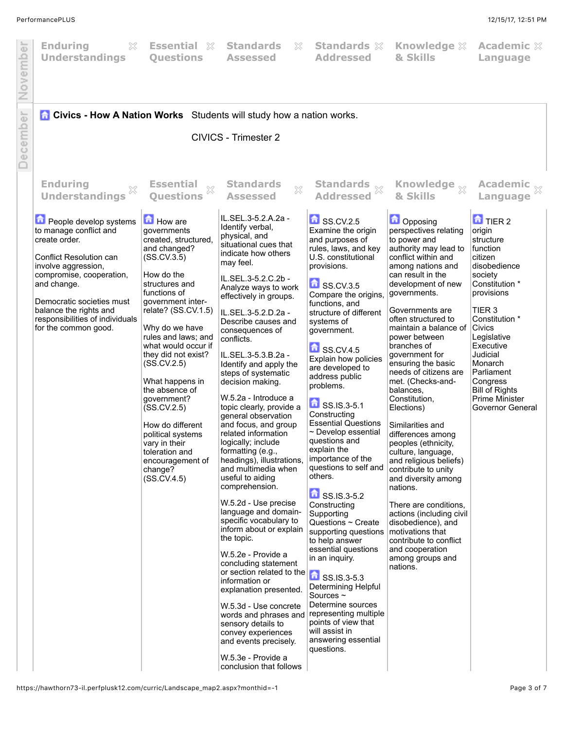| November | <b>Enduring</b><br>X<br><b>Understandings</b>                                                                                                                                                                                                                                             | <b>Essential</b> ※<br><b>Questions</b>                                                                                                                                                                                                                                                                                                                                                                                                                                       | <b>Standards</b><br>X<br><b>Assessed</b>                                                                                                                                                                                                                                                                                                                                                                                                                                                                                                                                                                                                                                                                                                                                                                                                                                                                                                                                                                                                             | <b>Standards &amp;</b><br><b>Addressed</b>                                                                                                                                                                                                                                                                                                                                                                                                                                                                                                                                                                                                                                                                                                                                                                                                                                    | <b>Knowledge XX</b><br>& Skills                                                                                                                                                                                                                                                                                                                                                                                                                                                                                                                                                                                                                                                                                                                                                       | <b>Academic XX</b><br>Language                                                                                                                                                                                                                                                                                              |
|----------|-------------------------------------------------------------------------------------------------------------------------------------------------------------------------------------------------------------------------------------------------------------------------------------------|------------------------------------------------------------------------------------------------------------------------------------------------------------------------------------------------------------------------------------------------------------------------------------------------------------------------------------------------------------------------------------------------------------------------------------------------------------------------------|------------------------------------------------------------------------------------------------------------------------------------------------------------------------------------------------------------------------------------------------------------------------------------------------------------------------------------------------------------------------------------------------------------------------------------------------------------------------------------------------------------------------------------------------------------------------------------------------------------------------------------------------------------------------------------------------------------------------------------------------------------------------------------------------------------------------------------------------------------------------------------------------------------------------------------------------------------------------------------------------------------------------------------------------------|-------------------------------------------------------------------------------------------------------------------------------------------------------------------------------------------------------------------------------------------------------------------------------------------------------------------------------------------------------------------------------------------------------------------------------------------------------------------------------------------------------------------------------------------------------------------------------------------------------------------------------------------------------------------------------------------------------------------------------------------------------------------------------------------------------------------------------------------------------------------------------|---------------------------------------------------------------------------------------------------------------------------------------------------------------------------------------------------------------------------------------------------------------------------------------------------------------------------------------------------------------------------------------------------------------------------------------------------------------------------------------------------------------------------------------------------------------------------------------------------------------------------------------------------------------------------------------------------------------------------------------------------------------------------------------|-----------------------------------------------------------------------------------------------------------------------------------------------------------------------------------------------------------------------------------------------------------------------------------------------------------------------------|
| December | <b>Civics - How A Nation Works</b> Students will study how a nation works.                                                                                                                                                                                                                |                                                                                                                                                                                                                                                                                                                                                                                                                                                                              | CIVICS - Trimester 2                                                                                                                                                                                                                                                                                                                                                                                                                                                                                                                                                                                                                                                                                                                                                                                                                                                                                                                                                                                                                                 |                                                                                                                                                                                                                                                                                                                                                                                                                                                                                                                                                                                                                                                                                                                                                                                                                                                                               |                                                                                                                                                                                                                                                                                                                                                                                                                                                                                                                                                                                                                                                                                                                                                                                       |                                                                                                                                                                                                                                                                                                                             |
|          | <b>Enduring</b><br><b>Understandings</b>                                                                                                                                                                                                                                                  | <b>Essential</b><br>83<br><b>Ouestions</b>                                                                                                                                                                                                                                                                                                                                                                                                                                   | <b>Standards</b><br>$\chi$<br><b>Assessed</b>                                                                                                                                                                                                                                                                                                                                                                                                                                                                                                                                                                                                                                                                                                                                                                                                                                                                                                                                                                                                        | Standards $\frac{1}{2}$<br><b>Addressed</b>                                                                                                                                                                                                                                                                                                                                                                                                                                                                                                                                                                                                                                                                                                                                                                                                                                   | Knowledge <sub>X</sub><br>& Skills                                                                                                                                                                                                                                                                                                                                                                                                                                                                                                                                                                                                                                                                                                                                                    | <b>Academic</b><br>Language                                                                                                                                                                                                                                                                                                 |
|          | <b>D</b> People develop systems<br>to manage conflict and<br>create order.<br>Conflict Resolution can<br>involve aggression,<br>compromise, cooperation,<br>and change.<br>Democratic societies must<br>balance the rights and<br>responsibilities of individuals<br>for the common good. | How are<br>governments<br>created, structured,<br>and changed?<br>(SS.CV.3.5)<br>How do the<br>structures and<br>functions of<br>government inter-<br>relate? (SS.CV.1.5)<br>Why do we have<br>rules and laws; and<br>what would occur if<br>they did not exist?<br>(SS.CV.2.5)<br>What happens in<br>the absence of<br>government?<br>(SS.CV.2.5)<br>How do different<br>political systems<br>vary in their<br>toleration and<br>encouragement of<br>change?<br>(SS.CV.4.5) | IL.SEL.3-5.2.A.2a -<br>Identify verbal,<br>physical, and<br>situational cues that<br>indicate how others<br>may feel.<br>IL.SEL.3-5.2.C.2b -<br>Analyze ways to work<br>effectively in groups.<br>IL.SEL.3-5.2.D.2a -<br>Describe causes and<br>consequences of<br>conflicts.<br>IL.SEL.3-5.3.B.2a -<br>Identify and apply the<br>steps of systematic<br>decision making.<br>W.5.2a - Introduce a<br>topic clearly, provide a<br>general observation<br>and focus, and group<br>related information<br>logically; include<br>formatting (e.g.,<br>headings), illustrations,<br>and multimedia when<br>useful to aiding<br>comprehension.<br>W.5.2d - Use precise<br>language and domain-<br>specific vocabulary to<br>inform about or explain<br>the topic.<br>W.5.2e - Provide a<br>concluding statement<br>or section related to the SS.IS.3-5.3<br>explanation presented.<br>W.5.3d - Use concrete<br>words and phrases and<br>sensory details to<br>convey experiences<br>and events precisely.<br>W.5.3e - Provide a<br>conclusion that follows | $S$ SS.CV.2.5<br>Examine the origin<br>and purposes of<br>rules, laws, and key<br>U.S. constitutional<br>provisions.<br>$\blacksquare$ SS.CV.3.5<br>Compare the origins,<br>functions, and<br>structure of different<br>systems of<br>government.<br>SSCV.4.5<br>Explain how policies<br>are developed to<br>address public<br>problems.<br>$\bullet$ SS.IS.3-5.1<br>Constructing<br><b>Essential Questions</b><br>$\sim$ Develop essential<br>questions and<br>explain the<br>importance of the<br>questions to self and<br>others.<br><b>n</b> SS.IS.3-5.2<br>Constructing<br>Supporting<br>Questions $\sim$ Create<br>supporting questions<br>to help answer<br>essential questions<br>in an inquiry.<br>Determining Helpful<br>Sources $\sim$<br>Determine sources<br>representing multiple<br>points of view that<br>will assist in<br>answering essential<br>questions. | <b>D</b> Opposing<br>perspectives relating<br>to power and<br>authority may lead to<br>conflict within and<br>among nations and<br>can result in the<br>development of new<br>governments.<br>Governments are<br>often structured to<br>maintain a balance of<br>power between<br>branches of<br>government for<br>ensuring the basic<br>needs of citizens are<br>met. (Checks-and-<br>balances.<br>Constitution,<br>Elections)<br>Similarities and<br>differences among<br>peoples (ethnicity,<br>culture, language,<br>and religious beliefs)<br>contribute to unity<br>and diversity among<br>nations.<br>There are conditions,<br>actions (including civil<br>disobedience), and<br>motivations that<br>contribute to conflict<br>and cooperation<br>among groups and<br>nations. | $\overline{a}$ TIER 2<br>origin<br>structure<br>function<br>citizen<br>disobedience<br>society<br>Constitution *<br>provisions<br>TIER <sub>3</sub><br>Constitution *<br>Civics<br>Legislative<br>Executive<br>Judicial<br>Monarch<br>Parliament<br>Congress<br><b>Bill of Rights</b><br>Prime Minister<br>Governor General |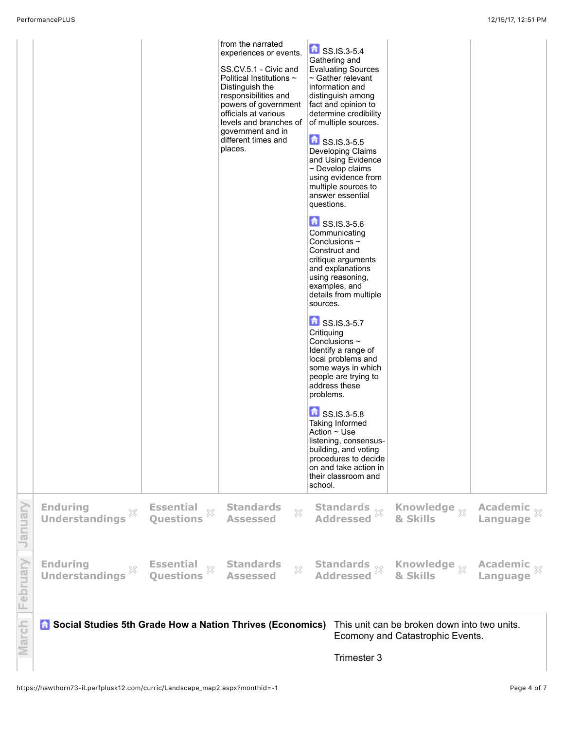|               |                                                                    |                                                      | from the narrated<br>experiences or events.<br>SS.CV.5.1 - Civic and<br>Political Institutions $\sim$<br>Distinguish the<br>responsibilities and<br>powers of government<br>officials at various<br>levels and branches of<br>government and in<br>different times and<br>places. | SS.IS.3-5.4<br>Gathering and<br><b>Evaluating Sources</b><br>$\sim$ Gather relevant<br>information and<br>distinguish among<br>fact and opinion to<br>determine credibility<br>of multiple sources.<br>$\bullet$ SS.IS.3-5.5<br>Developing Claims<br>and Using Evidence<br>$\sim$ Develop claims<br>using evidence from<br>multiple sources to<br>answer essential<br>questions.<br>SS.IS.3-5.6<br>Communicating<br>Conclusions $\sim$<br>Construct and<br>critique arguments<br>and explanations<br>using reasoning,<br>examples, and<br>details from multiple<br>sources.<br>$\bullet$ SS.IS.3-5.7<br>Critiquing<br>Conclusions $\sim$<br>Identify a range of<br>local problems and<br>some ways in which<br>people are trying to<br>address these<br>problems.<br>SS.IS.3-5.8<br><b>Taking Informed</b><br>Action ~ Use<br>listening, consensus-<br>building, and voting<br>procedures to decide<br>on and take action in<br>their classroom and<br>school. |                                                                                  |                                     |
|---------------|--------------------------------------------------------------------|------------------------------------------------------|-----------------------------------------------------------------------------------------------------------------------------------------------------------------------------------------------------------------------------------------------------------------------------------|----------------------------------------------------------------------------------------------------------------------------------------------------------------------------------------------------------------------------------------------------------------------------------------------------------------------------------------------------------------------------------------------------------------------------------------------------------------------------------------------------------------------------------------------------------------------------------------------------------------------------------------------------------------------------------------------------------------------------------------------------------------------------------------------------------------------------------------------------------------------------------------------------------------------------------------------------------------|----------------------------------------------------------------------------------|-------------------------------------|
| Vienuary      | <b>Enduring</b><br>X<br><b>Understandings</b>                      | <b>Essential</b><br>$\bar{\chi}$<br><b>Questions</b> | <b>Standards</b><br>53<br><b>Assessed</b>                                                                                                                                                                                                                                         | Standards<br>X<br><b>Addressed</b>                                                                                                                                                                                                                                                                                                                                                                                                                                                                                                                                                                                                                                                                                                                                                                                                                                                                                                                             | Knowledge $_{\otimes}$<br>& Skills                                               | Academic $\frac{1}{30}$<br>Language |
| February      | <b>Enduring</b><br>×<br><b>Understandings</b>                      | <b>Essential</b><br>$\rm\%$<br><b>Questions</b>      | <b>Standards</b><br>$\gtrsim$<br><b>Assessed</b>                                                                                                                                                                                                                                  | Standards $\mathbb{\mathbb{X}}$<br>Addressed $\mathbb{\mathbb{X}}$                                                                                                                                                                                                                                                                                                                                                                                                                                                                                                                                                                                                                                                                                                                                                                                                                                                                                             | Knowledge <sub>XX</sub><br>& Skills                                              | Academic xx<br>Language             |
| <b>flarch</b> | <b>G</b> Social Studies 5th Grade How a Nation Thrives (Economics) |                                                      |                                                                                                                                                                                                                                                                                   |                                                                                                                                                                                                                                                                                                                                                                                                                                                                                                                                                                                                                                                                                                                                                                                                                                                                                                                                                                | This unit can be broken down into two units.<br>Ecomony and Catastrophic Events. |                                     |

Trimester 3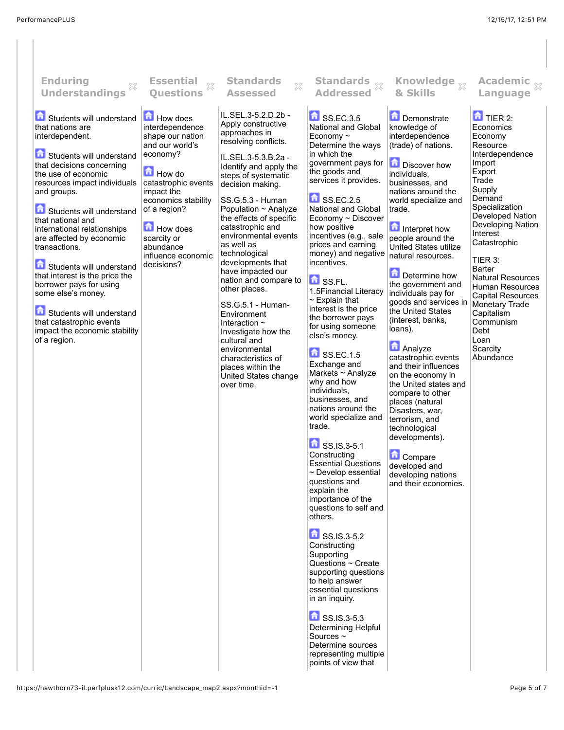| <b>Enduring</b><br><b>Understandings</b>                                                                                                                                                                                                                                                                                                                                                                                                                                                                                                            | <b>Essential</b><br>X<br><b>Ouestions</b>                                                                                                                                                                                                               | <b>Standards</b><br>$\chi$<br><b>Assessed</b>                                                                                                                                                                                                                                                                                                                                                                                                                                                                                                                                                                           | Standards x<br><b>Addressed</b>                                                                                                                                                                                                                                                                                                                                                                                                                                                                                                                                                                                                                                                                                                                                                                                                                                                                                                                                                                                                                                                                                                                            | Knowledge <sub>X</sub><br>& Skills                                                                                                                                                                                                                                                                                                                                                                                                                                                                                                                                                                                                                                                                                        | Academic $\frac{1}{2}$<br>Language                                                                                                                                                                                                                                                                                                                                                                          |
|-----------------------------------------------------------------------------------------------------------------------------------------------------------------------------------------------------------------------------------------------------------------------------------------------------------------------------------------------------------------------------------------------------------------------------------------------------------------------------------------------------------------------------------------------------|---------------------------------------------------------------------------------------------------------------------------------------------------------------------------------------------------------------------------------------------------------|-------------------------------------------------------------------------------------------------------------------------------------------------------------------------------------------------------------------------------------------------------------------------------------------------------------------------------------------------------------------------------------------------------------------------------------------------------------------------------------------------------------------------------------------------------------------------------------------------------------------------|------------------------------------------------------------------------------------------------------------------------------------------------------------------------------------------------------------------------------------------------------------------------------------------------------------------------------------------------------------------------------------------------------------------------------------------------------------------------------------------------------------------------------------------------------------------------------------------------------------------------------------------------------------------------------------------------------------------------------------------------------------------------------------------------------------------------------------------------------------------------------------------------------------------------------------------------------------------------------------------------------------------------------------------------------------------------------------------------------------------------------------------------------------|---------------------------------------------------------------------------------------------------------------------------------------------------------------------------------------------------------------------------------------------------------------------------------------------------------------------------------------------------------------------------------------------------------------------------------------------------------------------------------------------------------------------------------------------------------------------------------------------------------------------------------------------------------------------------------------------------------------------------|-------------------------------------------------------------------------------------------------------------------------------------------------------------------------------------------------------------------------------------------------------------------------------------------------------------------------------------------------------------------------------------------------------------|
| Students will understand<br>that nations are<br>interdependent.<br>Students will understand<br>that decisions concerning<br>the use of economic<br>resources impact individuals<br>and groups.<br>Students will understand<br>that national and<br>international relationships<br>are affected by economic<br>transactions.<br>Students will understand<br>that interest is the price the<br>borrower pays for using<br>some else's money.<br>Students will understand<br>that catastrophic events<br>impact the economic stability<br>of a region. | <b>How does</b><br>interdependence<br>shape our nation<br>and our world's<br>economy?<br>How do<br>catastrophic events<br>impact the<br>economics stability<br>of a region?<br>How does<br>scarcity or<br>abundance<br>influence economic<br>decisions? | IL.SEL.3-5.2.D.2b -<br>Apply constructive<br>approaches in<br>resolving conflicts.<br>IL.SEL.3-5.3.B.2a -<br>Identify and apply the<br>steps of systematic<br>decision making.<br>SS.G.5.3 - Human<br>Population ~ Analyze<br>the effects of specific<br>catastrophic and<br>environmental events<br>as well as<br>technological<br>developments that<br>have impacted our<br>nation and compare to<br>other places.<br>SS.G.5.1 - Human-<br>Environment<br>Interaction $\sim$<br>Investigate how the<br>cultural and<br>environmental<br>characteristics of<br>places within the<br>United States change<br>over time. | SSEC.3.5<br>National and Global<br>Economy $\sim$<br>Determine the ways<br>in which the<br>government pays for<br>the goods and<br>services it provides.<br>SSEC.2.5<br>National and Global<br>Economy ~ Discover<br>how positive<br>incentives (e.g., sale<br>prices and earning<br>money) and negative<br>incentives.<br><b>d</b> SS.FL.<br>1.5Financial Literacy<br>$\sim$ Explain that<br>interest is the price<br>the borrower pays<br>for using someone<br>else's money.<br>$\bullet$ SS.EC.1.5<br>Exchange and<br>Markets $\sim$ Analyze<br>why and how<br>individuals,<br>businesses, and<br>nations around the<br>world specialize and<br>trade.<br>$\frac{1}{2}$ SS.IS.3-5.1<br>Constructing<br><b>Essential Questions</b><br>$\sim$ Develop essential<br>questions and<br>explain the<br>importance of the<br>questions to self and<br>others.<br>SS.IS.3-5.2<br>Constructing<br>Supporting<br>Questions ~ Create<br>supporting questions<br>to help answer<br>essential questions<br>in an inquiry.<br>$\frac{1}{2}$ SS.IS.3-5.3<br>Determining Helpful<br>Sources $\sim$<br>Determine sources<br>representing multiple<br>points of view that | Demonstrate<br>knowledge of<br>interdependence<br>(trade) of nations.<br>Discover how<br>individuals,<br>businesses, and<br>nations around the<br>world specialize and<br>trade.<br>Interpret how<br>people around the<br>United States utilize<br>natural resources.<br>Determine how<br>the government and<br>individuals pay for<br>goods and services in<br>the United States<br>(interest, banks,<br>loans).<br><b>Analyze</b><br>catastrophic events<br>and their influences<br>on the economy in<br>the United states and<br>compare to other<br>places (natural<br>Disasters, war,<br>terrorism, and<br>technological<br>developments).<br>Compare<br>developed and<br>developing nations<br>and their economies. | $\overline{a}$ TIER 2:<br>Economics<br>Economy<br>Resource<br>Interdependence<br>Import<br>Export<br>Trade<br>Supply<br>Demand<br>Specialization<br>Developed Nation<br>Developing Nation<br>Interest<br>Catastrophic<br>TIER 3:<br>Barter<br><b>Natural Resources</b><br>Human Resources<br><b>Capital Resources</b><br>Monetary Trade<br>Capitalism<br>Communism<br>Debt<br>Loan<br>Scarcity<br>Abundance |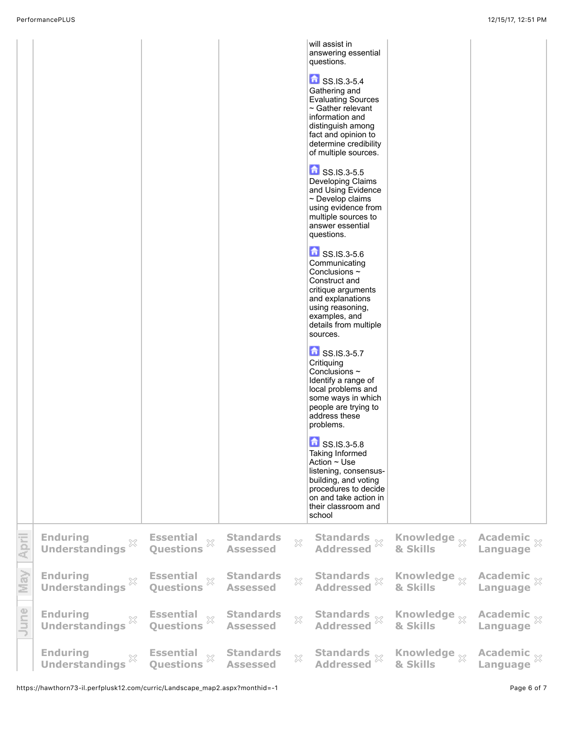|       |                                                                 |                                                            |                                     |                | will assist in<br>answering essential<br>questions.<br>SS.IS.3-5.4<br>Gathering and<br><b>Evaluating Sources</b><br>$\sim$ Gather relevant<br>information and<br>distinguish among<br>fact and opinion to<br>determine credibility<br>of multiple sources.<br>$\frac{1}{2}$ SS.IS.3-5.5<br>Developing Claims<br>and Using Evidence<br>$\sim$ Develop claims<br>using evidence from<br>multiple sources to<br>answer essential<br>questions.<br>SS.IS.3-5.6<br>Communicating<br>Conclusions $\sim$<br>Construct and<br>critique arguments<br>and explanations<br>using reasoning,<br>examples, and<br>details from multiple<br>sources.<br>SS.IS.3-5.7<br>Critiquing<br>Conclusions $\sim$<br>Identify a range of<br>local problems and<br>some ways in which<br>people are trying to<br>address these<br>problems.<br>SS.IS.3-5.8<br>Taking Informed<br>Action $\sim$ Use<br>listening, consensus-<br>building, and voting<br>procedures to decide<br>on and take action in<br>their classroom and<br>school |                                   |                                    |
|-------|-----------------------------------------------------------------|------------------------------------------------------------|-------------------------------------|----------------|--------------------------------------------------------------------------------------------------------------------------------------------------------------------------------------------------------------------------------------------------------------------------------------------------------------------------------------------------------------------------------------------------------------------------------------------------------------------------------------------------------------------------------------------------------------------------------------------------------------------------------------------------------------------------------------------------------------------------------------------------------------------------------------------------------------------------------------------------------------------------------------------------------------------------------------------------------------------------------------------------------------|-----------------------------------|------------------------------------|
| April | <b>Enduring</b><br>Enuuring<br>Understandings<br>$\%$           | <b>Essential</b><br>Questions                              | <b>Standards</b><br><b>Assessed</b> | $\mathbb{R}^2$ | Standards $\mathbb{X}$<br>Addressed $\mathbb{X}$                                                                                                                                                                                                                                                                                                                                                                                                                                                                                                                                                                                                                                                                                                                                                                                                                                                                                                                                                             | Knowledge $_\infty$<br>& Skills   | Academic xx                        |
| May   | <b>Enduring</b><br>X<br><b>Understandings</b>                   | <b>Essential</b><br>$\bar{\mathbb{X}}$<br><b>Questions</b> | <b>Standards</b><br><b>Assessed</b> | $\mathbb{X}$   | Standards<br>Addressed                                                                                                                                                                                                                                                                                                                                                                                                                                                                                                                                                                                                                                                                                                                                                                                                                                                                                                                                                                                       | Knowledge $_\%$<br>& Skills       | Academic $\frac{1}{2}$<br>Language |
| June  | <b>Enduring</b><br>$\mathbb{X}$<br>Understandings <sup>**</sup> | Essential<br><b>Questions</b>                              | <b>Standards</b><br><b>Assessed</b> | $\mathbb{X}$   | Standards<br>Addressed                                                                                                                                                                                                                                                                                                                                                                                                                                                                                                                                                                                                                                                                                                                                                                                                                                                                                                                                                                                       | Knowledge $\mathbb X$<br>& Skills | Academic x                         |
|       | <b>Enduring</b><br><b>Understandings</b>                        | <b>Essential</b><br>$\bar{\mathbb{X}}$<br><b>Questions</b> | <b>Standards</b><br><b>Assessed</b> | X              | Standards $\mathbb{\mathbb{X}}$<br>Addressed                                                                                                                                                                                                                                                                                                                                                                                                                                                                                                                                                                                                                                                                                                                                                                                                                                                                                                                                                                 | Knowledge xx<br>& Skills          | Academic $\mathbb{R}$<br>Language  |